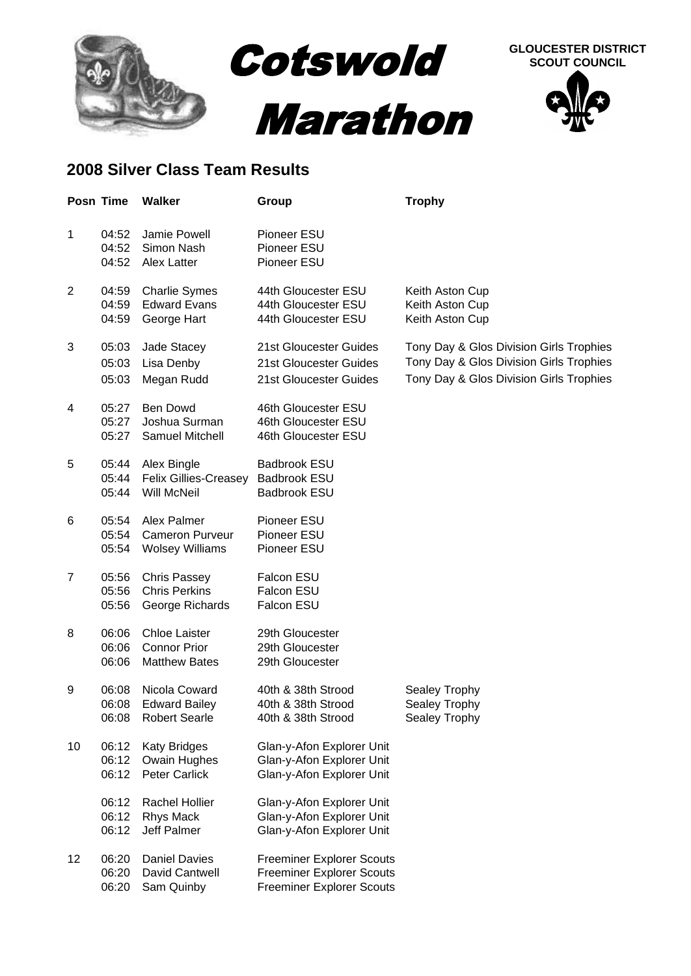

## **SCOUT COUNCIL**



## **2008 Silver Class Team Results**

|    | Posn Time               | <b>Walker</b>                                                       | Group                                                                                                    | <b>Trophy</b>                                                                                                                 |
|----|-------------------------|---------------------------------------------------------------------|----------------------------------------------------------------------------------------------------------|-------------------------------------------------------------------------------------------------------------------------------|
| 1  | 04:52<br>04:52<br>04:52 | Jamie Powell<br>Simon Nash<br>Alex Latter                           | Pioneer ESU<br>Pioneer ESU<br>Pioneer ESU                                                                |                                                                                                                               |
| 2  | 04:59<br>04:59<br>04:59 | <b>Charlie Symes</b><br><b>Edward Evans</b><br>George Hart          | 44th Gloucester ESU<br>44th Gloucester ESU<br>44th Gloucester ESU                                        | Keith Aston Cup<br>Keith Aston Cup<br>Keith Aston Cup                                                                         |
| 3  | 05:03<br>05:03<br>05:03 | Jade Stacey<br>Lisa Denby<br>Megan Rudd                             | 21st Gloucester Guides<br>21st Gloucester Guides<br>21st Gloucester Guides                               | Tony Day & Glos Division Girls Trophies<br>Tony Day & Glos Division Girls Trophies<br>Tony Day & Glos Division Girls Trophies |
| 4  | 05:27<br>05:27<br>05:27 | <b>Ben Dowd</b><br>Joshua Surman<br>Samuel Mitchell                 | 46th Gloucester ESU<br>46th Gloucester ESU<br>46th Gloucester ESU                                        |                                                                                                                               |
| 5  | 05:44<br>05:44<br>05:44 | Alex Bingle<br><b>Felix Gillies-Creasey</b><br>Will McNeil          | <b>Badbrook ESU</b><br><b>Badbrook ESU</b><br><b>Badbrook ESU</b>                                        |                                                                                                                               |
| 6  | 05:54<br>05:54<br>05:54 | Alex Palmer<br><b>Cameron Purveur</b><br><b>Wolsey Williams</b>     | Pioneer ESU<br>Pioneer ESU<br>Pioneer ESU                                                                |                                                                                                                               |
| 7  | 05:56<br>05:56<br>05:56 | <b>Chris Passey</b><br><b>Chris Perkins</b><br>George Richards      | Falcon ESU<br>Falcon ESU<br>Falcon ESU                                                                   |                                                                                                                               |
| 8  | 06:06<br>06:06<br>06:06 | <b>Chloe Laister</b><br><b>Connor Prior</b><br><b>Matthew Bates</b> | 29th Gloucester<br>29th Gloucester<br>29th Gloucester                                                    |                                                                                                                               |
| 9  | 06:08<br>06:08<br>06:08 | Nicola Coward<br><b>Edward Bailey</b><br><b>Robert Searle</b>       | 40th & 38th Strood<br>40th & 38th Strood<br>40th & 38th Strood                                           | Sealey Trophy<br>Sealey Trophy<br>Sealey Trophy                                                                               |
| 10 | 06:12<br>06:12<br>06:12 | <b>Katy Bridges</b><br><b>Owain Hughes</b><br><b>Peter Carlick</b>  | Glan-y-Afon Explorer Unit<br>Glan-y-Afon Explorer Unit<br>Glan-y-Afon Explorer Unit                      |                                                                                                                               |
|    | 06:12<br>06:12<br>06:12 | <b>Rachel Hollier</b><br><b>Rhys Mack</b><br>Jeff Palmer            | Glan-y-Afon Explorer Unit<br>Glan-y-Afon Explorer Unit<br>Glan-y-Afon Explorer Unit                      |                                                                                                                               |
| 12 | 06:20<br>06:20<br>06:20 | <b>Daniel Davies</b><br>David Cantwell<br>Sam Quinby                | <b>Freeminer Explorer Scouts</b><br><b>Freeminer Explorer Scouts</b><br><b>Freeminer Explorer Scouts</b> |                                                                                                                               |